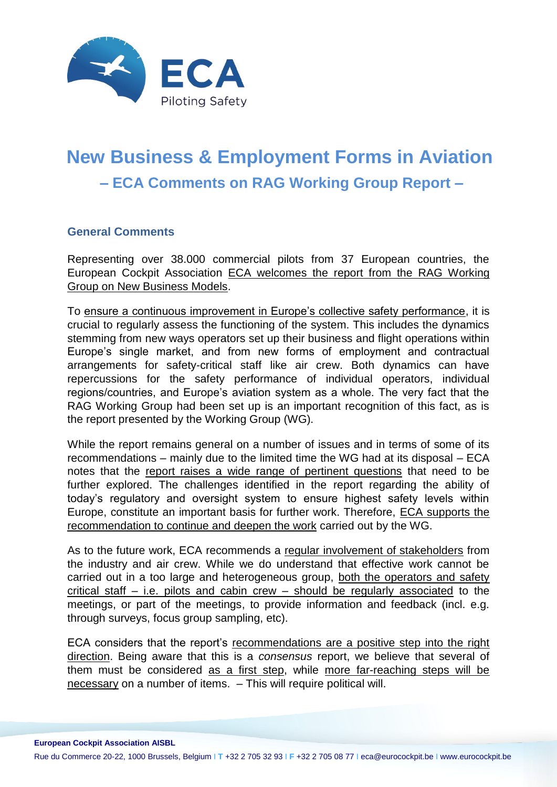

# **New Business & Employment Forms in Aviation – ECA Comments on RAG Working Group Report –**

# **General Comments**

Representing over 38.000 commercial pilots from 37 European countries, the European Cockpit Association ECA welcomes the report from the RAG Working Group on New Business Models.

To ensure a continuous improvement in Europe's collective safety performance, it is crucial to regularly assess the functioning of the system. This includes the dynamics stemming from new ways operators set up their business and flight operations within Europe's single market, and from new forms of employment and contractual arrangements for safety-critical staff like air crew. Both dynamics can have repercussions for the safety performance of individual operators, individual regions/countries, and Europe's aviation system as a whole. The very fact that the RAG Working Group had been set up is an important recognition of this fact, as is the report presented by the Working Group (WG).

While the report remains general on a number of issues and in terms of some of its recommendations – mainly due to the limited time the WG had at its disposal – ECA notes that the report raises a wide range of pertinent questions that need to be further explored. The challenges identified in the report regarding the ability of today's regulatory and oversight system to ensure highest safety levels within Europe, constitute an important basis for further work. Therefore, ECA supports the recommendation to continue and deepen the work carried out by the WG.

As to the future work, ECA recommends a regular involvement of stakeholders from the industry and air crew. While we do understand that effective work cannot be carried out in a too large and heterogeneous group, both the operators and safety critical staff – i.e. pilots and cabin crew – should be regularly associated to the meetings, or part of the meetings, to provide information and feedback (incl. e.g. through surveys, focus group sampling, etc).

ECA considers that the report's recommendations are a positive step into the right direction. Being aware that this is a *consensus* report, we believe that several of them must be considered as a first step, while more far-reaching steps will be necessary on a number of items. – This will require political will.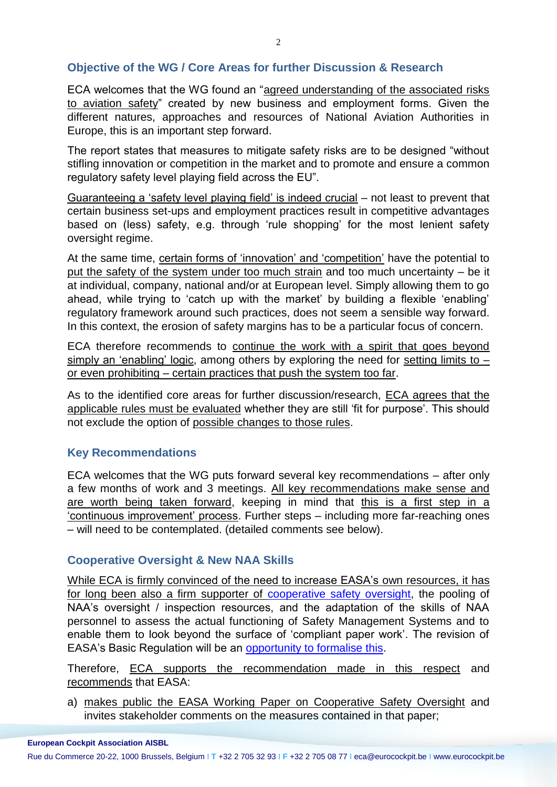## **Objective of the WG / Core Areas for further Discussion & Research**

ECA welcomes that the WG found an "agreed understanding of the associated risks to aviation safety" created by new business and employment forms. Given the different natures, approaches and resources of National Aviation Authorities in Europe, this is an important step forward.

The report states that measures to mitigate safety risks are to be designed "without stifling innovation or competition in the market and to promote and ensure a common regulatory safety level playing field across the EU".

Guaranteeing a 'safety level playing field' is indeed crucial – not least to prevent that certain business set-ups and employment practices result in competitive advantages based on (less) safety, e.g. through 'rule shopping' for the most lenient safety oversight regime.

At the same time, certain forms of 'innovation' and 'competition' have the potential to put the safety of the system under too much strain and too much uncertainty – be it at individual, company, national and/or at European level. Simply allowing them to go ahead, while trying to 'catch up with the market' by building a flexible 'enabling' regulatory framework around such practices, does not seem a sensible way forward. In this context, the erosion of safety margins has to be a particular focus of concern.

ECA therefore recommends to continue the work with a spirit that goes beyond simply an 'enabling' logic, among others by exploring the need for setting limits to – or even prohibiting – certain practices that push the system too far.

As to the identified core areas for further discussion/research, ECA agrees that the applicable rules must be evaluated whether they are still 'fit for purpose'. This should not exclude the option of possible changes to those rules.

#### **Key Recommendations**

ECA welcomes that the WG puts forward several key recommendations – after only a few months of work and 3 meetings. All key recommendations make sense and are worth being taken forward, keeping in mind that this is a first step in a 'continuous improvement' process. Further steps – including more far-reaching ones – will need to be contemplated. (detailed comments see below).

#### **Cooperative Oversight & New NAA Skills**

While ECA is firmly convinced of the need to increase EASA's own resources, it has for long been also a firm supporter of [cooperative safety oversight,](https://www.eurocockpit.be/sites/default/files/eca_civil_aviation_legislation_and_oversight_13_1204_f-web.pdf) the pooling of NAA's oversight / inspection resources, and the adaptation of the skills of NAA personnel to assess the actual functioning of Safety Management Systems and to enable them to look beyond the surface of 'compliant paper work'. The revision of EASA's Basic Regulation will be an [opportunity to formalise this.](https://www.eurocockpit.be/sites/default/files/eca_position_paper_article_62_13_0423_f.pdf)

Therefore, ECA supports the recommendation made in this respect and recommends that EASA:

a) makes public the EASA Working Paper on Cooperative Safety Oversight and invites stakeholder comments on the measures contained in that paper;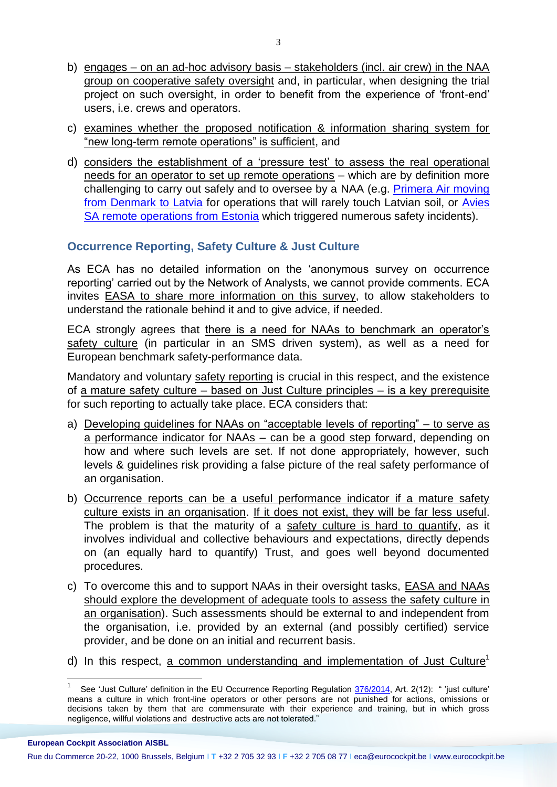- b) engages on an ad-hoc advisory basis stakeholders (incl. air crew) in the NAA group on cooperative safety oversight and, in particular, when designing the trial project on such oversight, in order to benefit from the experience of 'front-end' users, i.e. crews and operators.
- c) examines whether the proposed notification & information sharing system for "new long-term remote operations" is sufficient, and
- d) considers the establishment of a 'pressure test' to assess the real operational needs for an operator to set up remote operations – which are by definition more challenging to carry out safely and to oversee by a NAA (e.g. [Primera Air moving](https://www.eurocockpit.be/stories/20150408/the-little-differently-philosophy-of-primera-air)  [from Denmark to Latvia](https://www.eurocockpit.be/stories/20150408/the-little-differently-philosophy-of-primera-air) for operations that will rarely touch Latvian soil, or [Avies](https://www.eurocockpit.be/stories/20141106/safety-oversight-is-anybody-out-there)  [SA remote operations from Estonia](https://www.eurocockpit.be/stories/20141106/safety-oversight-is-anybody-out-there) which triggered numerous safety incidents).

# **Occurrence Reporting, Safety Culture & Just Culture**

As ECA has no detailed information on the 'anonymous survey on occurrence reporting' carried out by the Network of Analysts, we cannot provide comments. ECA invites EASA to share more information on this survey, to allow stakeholders to understand the rationale behind it and to give advice, if needed.

ECA strongly agrees that there is a need for NAAs to benchmark an operator's safety culture (in particular in an SMS driven system), as well as a need for European benchmark safety-performance data.

Mandatory and voluntary safety reporting is crucial in this respect, and the existence of a mature safety culture – based on Just Culture principles – is a key prerequisite for such reporting to actually take place. ECA considers that:

- a) Developing guidelines for NAAs on "acceptable levels of reporting" to serve as a performance indicator for NAAs – can be a good step forward, depending on how and where such levels are set. If not done appropriately, however, such levels & guidelines risk providing a false picture of the real safety performance of an organisation.
- b) Occurrence reports can be a useful performance indicator if a mature safety culture exists in an organisation. If it does not exist, they will be far less useful. The problem is that the maturity of a safety culture is hard to quantify, as it involves individual and collective behaviours and expectations, directly depends on (an equally hard to quantify) Trust, and goes well beyond documented procedures.
- c) To overcome this and to support NAAs in their oversight tasks, EASA and NAAs should explore the development of adequate tools to assess the safety culture in an organisation). Such assessments should be external to and independent from the organisation, i.e. provided by an external (and possibly certified) service provider, and be done on an initial and recurrent basis.
- d) In this respect, a common understanding and implementation of Just Culture<sup>1</sup>

**European Cockpit Association AISBL**

1

<sup>1</sup> See 'Just Culture' definition in the EU Occurrence Reporting Regulation [376/2014,](http://eur-lex.europa.eu/legal-content/EN/TXT/HTML/?uri=CELEX:32014R0376&from=EN) Art. 2(12): " 'just culture' means a culture in which front-line operators or other persons are not punished for actions, omissions or decisions taken by them that are commensurate with their experience and training, but in which gross negligence, willful violations and destructive acts are not tolerated."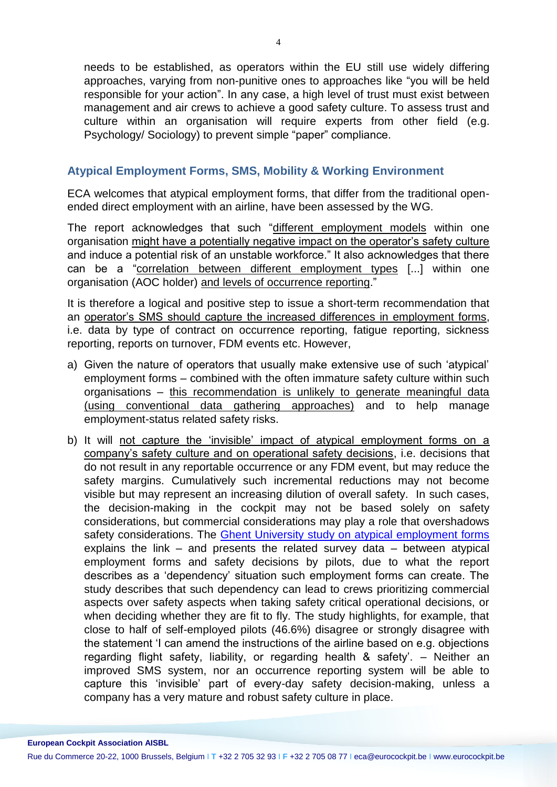needs to be established, as operators within the EU still use widely differing approaches, varying from non-punitive ones to approaches like "you will be held responsible for your action". In any case, a high level of trust must exist between management and air crews to achieve a good safety culture. To assess trust and culture within an organisation will require experts from other field (e.g. Psychology/ Sociology) to prevent simple "paper" compliance.

## **Atypical Employment Forms, SMS, Mobility & Working Environment**

ECA welcomes that atypical employment forms, that differ from the traditional openended direct employment with an airline, have been assessed by the WG.

The report acknowledges that such "different employment models within one organisation might have a potentially negative impact on the operator's safety culture and induce a potential risk of an unstable workforce." It also acknowledges that there can be a "correlation between different employment types [...] within one organisation (AOC holder) and levels of occurrence reporting."

It is therefore a logical and positive step to issue a short-term recommendation that an operator's SMS should capture the increased differences in employment forms, i.e. data by type of contract on occurrence reporting, fatigue reporting, sickness reporting, reports on turnover, FDM events etc. However,

- a) Given the nature of operators that usually make extensive use of such 'atypical' employment forms – combined with the often immature safety culture within such organisations – this recommendation is unlikely to generate meaningful data (using conventional data gathering approaches) and to help manage employment-status related safety risks.
- b) It will not capture the 'invisible' impact of atypical employment forms on a company's safety culture and on operational safety decisions, i.e. decisions that do not result in any reportable occurrence or any FDM event, but may reduce the safety margins. Cumulatively such incremental reductions may not become visible but may represent an increasing dilution of overall safety. In such cases, the decision-making in the cockpit may not be based solely on safety considerations, but commercial considerations may play a role that overshadows safety considerations. The [Ghent University study on atypical employment forms](https://www.eurocockpit.be/stories/20150212/dramatic-rise-in-self-employment-and-zero-hours-contracts-for-crew-on-european-airc) explains the link – and presents the related survey data – between atypical employment forms and safety decisions by pilots, due to what the report describes as a 'dependency' situation such employment forms can create. The study describes that such dependency can lead to crews prioritizing commercial aspects over safety aspects when taking safety critical operational decisions, or when deciding whether they are fit to fly. The study highlights, for example, that close to half of self-employed pilots (46.6%) disagree or strongly disagree with the statement 'I can amend the instructions of the airline based on e.g. objections regarding flight safety, liability, or regarding health & safety'. – Neither an improved SMS system, nor an occurrence reporting system will be able to capture this 'invisible' part of every-day safety decision-making, unless a company has a very mature and robust safety culture in place.

**European Cockpit Association AISBL**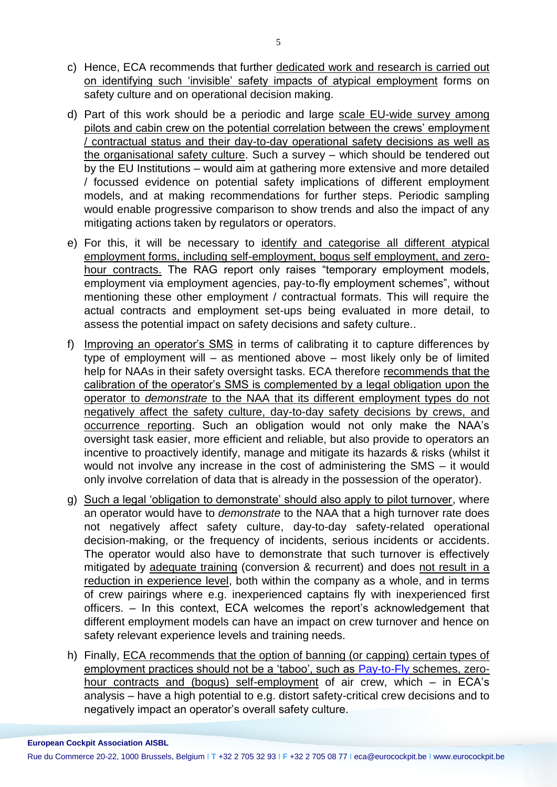- c) Hence, ECA recommends that further dedicated work and research is carried out on identifying such 'invisible' safety impacts of atypical employment forms on safety culture and on operational decision making.
- d) Part of this work should be a periodic and large scale EU-wide survey among pilots and cabin crew on the potential correlation between the crews' employment / contractual status and their day-to-day operational safety decisions as well as the organisational safety culture. Such a survey – which should be tendered out by the EU Institutions – would aim at gathering more extensive and more detailed / focussed evidence on potential safety implications of different employment models, and at making recommendations for further steps. Periodic sampling would enable progressive comparison to show trends and also the impact of any mitigating actions taken by regulators or operators.
- e) For this, it will be necessary to identify and categorise all different atypical employment forms, including self-employment, bogus self employment, and zerohour contracts. The RAG report only raises "temporary employment models, employment via employment agencies, pay-to-fly employment schemes", without mentioning these other employment / contractual formats. This will require the actual contracts and employment set-ups being evaluated in more detail, to assess the potential impact on safety decisions and safety culture..
- f) Improving an operator's SMS in terms of calibrating it to capture differences by type of employment will – as mentioned above – most likely only be of limited help for NAAs in their safety oversight tasks. ECA therefore recommends that the calibration of the operator's SMS is complemented by a legal obligation upon the operator to *demonstrate* to the NAA that its different employment types do not negatively affect the safety culture, day-to-day safety decisions by crews, and occurrence reporting. Such an obligation would not only make the NAA's oversight task easier, more efficient and reliable, but also provide to operators an incentive to proactively identify, manage and mitigate its hazards & risks (whilst it would not involve any increase in the cost of administering the SMS – it would only involve correlation of data that is already in the possession of the operator).
- g) Such a legal 'obligation to demonstrate' should also apply to pilot turnover, where an operator would have to *demonstrate* to the NAA that a high turnover rate does not negatively affect safety culture, day-to-day safety-related operational decision-making, or the frequency of incidents, serious incidents or accidents. The operator would also have to demonstrate that such turnover is effectively mitigated by adequate training (conversion & recurrent) and does not result in a reduction in experience level, both within the company as a whole, and in terms of crew pairings where e.g. inexperienced captains fly with inexperienced first officers. – In this context, ECA welcomes the report's acknowledgement that different employment models can have an impact on crew turnover and hence on safety relevant experience levels and training needs.
- h) Finally, ECA recommends that the option of banning (or capping) certain types of employment practices should not be a 'taboo', such as [Pay-to-Fly](https://www.eurocockpit.be/node/2262/) schemes, zerohour contracts and (bogus) self-employment of air crew, which – in ECA's analysis – have a high potential to e.g. distort safety-critical crew decisions and to negatively impact an operator's overall safety culture.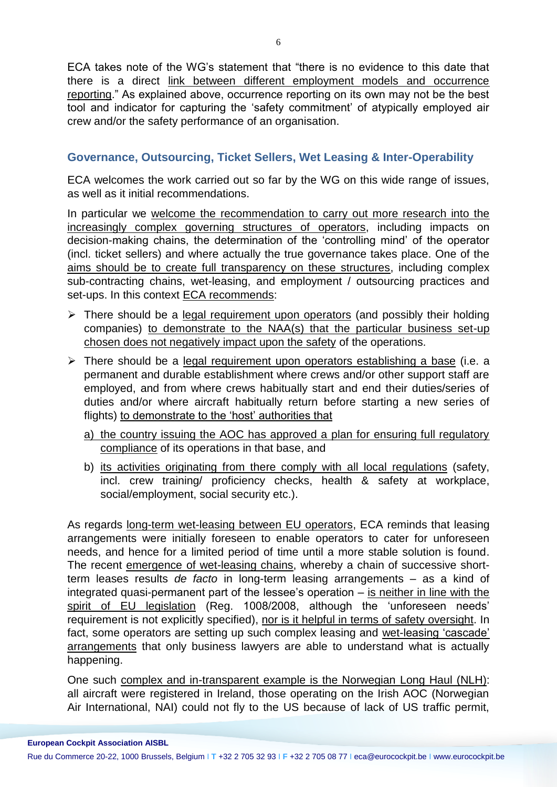ECA takes note of the WG's statement that "there is no evidence to this date that there is a direct link between different employment models and occurrence reporting." As explained above, occurrence reporting on its own may not be the best tool and indicator for capturing the 'safety commitment' of atypically employed air crew and/or the safety performance of an organisation.

# **Governance, Outsourcing, Ticket Sellers, Wet Leasing & Inter-Operability**

ECA welcomes the work carried out so far by the WG on this wide range of issues, as well as it initial recommendations.

In particular we welcome the recommendation to carry out more research into the increasingly complex governing structures of operators, including impacts on decision-making chains, the determination of the 'controlling mind' of the operator (incl. ticket sellers) and where actually the true governance takes place. One of the aims should be to create full transparency on these structures, including complex sub-contracting chains, wet-leasing, and employment / outsourcing practices and set-ups. In this context ECA recommends:

- $\triangleright$  There should be a legal requirement upon operators (and possibly their holding companies) to demonstrate to the NAA(s) that the particular business set-up chosen does not negatively impact upon the safety of the operations.
- $\triangleright$  There should be a legal requirement upon operators establishing a base (i.e. a permanent and durable establishment where crews and/or other support staff are employed, and from where crews habitually start and end their duties/series of duties and/or where aircraft habitually return before starting a new series of flights) to demonstrate to the 'host' authorities that
	- a) the country issuing the AOC has approved a plan for ensuring full regulatory compliance of its operations in that base, and
	- b) its activities originating from there comply with all local regulations (safety, incl. crew training/ proficiency checks, health & safety at workplace, social/employment, social security etc.).

As regards long-term wet-leasing between EU operators, ECA reminds that leasing arrangements were initially foreseen to enable operators to cater for unforeseen needs, and hence for a limited period of time until a more stable solution is found. The recent emergence of wet-leasing chains, whereby a chain of successive shortterm leases results *de facto* in long-term leasing arrangements – as a kind of integrated quasi-permanent part of the lessee's operation  $-$  is neither in line with the spirit of EU legislation (Reg. 1008/2008, although the 'unforeseen needs' requirement is not explicitly specified), nor is it helpful in terms of safety oversight. In fact, some operators are setting up such complex leasing and wet-leasing 'cascade' arrangements that only business lawyers are able to understand what is actually happening.

One such complex and in-transparent example is the Norwegian Long Haul (NLH): all aircraft were registered in Ireland, those operating on the Irish AOC (Norwegian Air International, NAI) could not fly to the US because of lack of US traffic permit,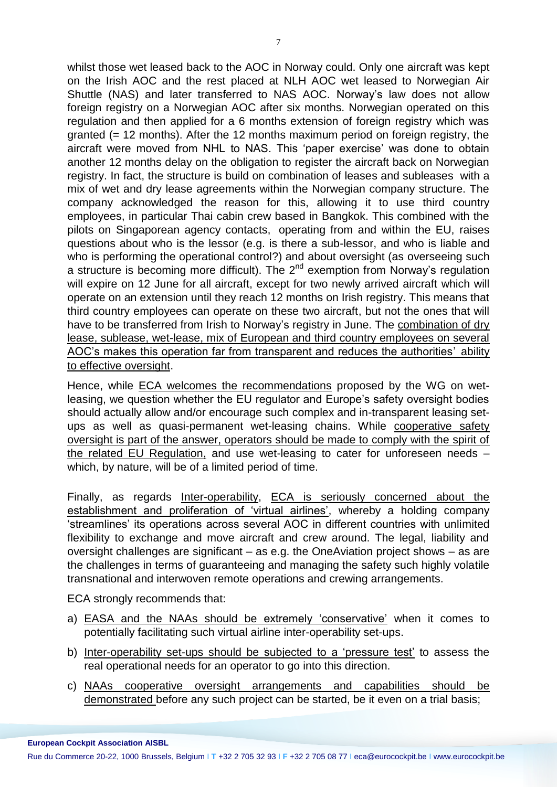whilst those wet leased back to the AOC in Norway could. Only one aircraft was kept on the Irish AOC and the rest placed at NLH AOC wet leased to Norwegian Air Shuttle (NAS) and later transferred to NAS AOC. Norway's law does not allow foreign registry on a Norwegian AOC after six months. Norwegian operated on this regulation and then applied for a 6 months extension of foreign registry which was granted (= 12 months). After the 12 months maximum period on foreign registry, the aircraft were moved from NHL to NAS. This 'paper exercise' was done to obtain another 12 months delay on the obligation to register the aircraft back on Norwegian registry. In fact, the structure is build on combination of leases and subleases with a mix of wet and dry lease agreements within the Norwegian company structure. The company acknowledged the reason for this, allowing it to use third country employees, in particular Thai cabin crew based in Bangkok. This combined with the pilots on Singaporean agency contacts, operating from and within the EU, raises questions about who is the lessor (e.g. is there a sub-lessor, and who is liable and who is performing the operational control?) and about oversight (as overseeing such a structure is becoming more difficult). The  $2^{nd}$  exemption from Norway's regulation will expire on 12 June for all aircraft, except for two newly arrived aircraft which will operate on an extension until they reach 12 months on Irish registry. This means that third country employees can operate on these two aircraft, but not the ones that will have to be transferred from Irish to Norway's registry in June. The combination of dry lease, sublease, wet-lease, mix of European and third country employees on several AOC's makes this operation far from transparent and reduces the authorities' ability to effective oversight.

Hence, while ECA welcomes the recommendations proposed by the WG on wetleasing, we question whether the EU regulator and Europe's safety oversight bodies should actually allow and/or encourage such complex and in-transparent leasing setups as well as quasi-permanent wet-leasing chains. While cooperative safety oversight is part of the answer, operators should be made to comply with the spirit of the related EU Regulation, and use wet-leasing to cater for unforeseen needs – which, by nature, will be of a limited period of time.

Finally, as regards Inter-operability, ECA is seriously concerned about the establishment and proliferation of 'virtual airlines', whereby a holding company 'streamlines' its operations across several AOC in different countries with unlimited flexibility to exchange and move aircraft and crew around. The legal, liability and oversight challenges are significant – as e.g. the OneAviation project shows – as are the challenges in terms of guaranteeing and managing the safety such highly volatile transnational and interwoven remote operations and crewing arrangements.

ECA strongly recommends that:

- a) EASA and the NAAs should be extremely 'conservative' when it comes to potentially facilitating such virtual airline inter-operability set-ups.
- b) Inter-operability set-ups should be subjected to a 'pressure test' to assess the real operational needs for an operator to go into this direction.
- c) NAAs cooperative oversight arrangements and capabilities should be demonstrated before any such project can be started, be it even on a trial basis;